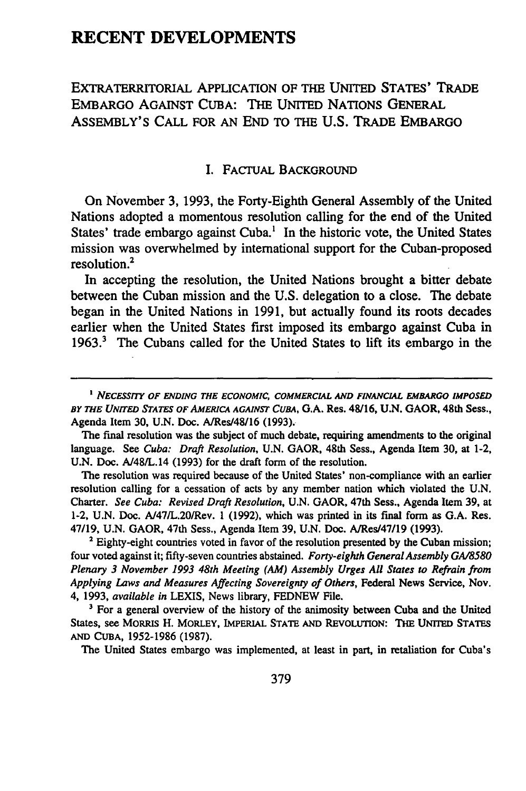# **RECENT DEVELOPMENTS**

EXTRATERRrrORiAL APPLICATION OF THE **UNITED STATES' TRADE** EMBARGO **AGAINST CUBA: THE** UNITED NATIONS **GENERAL ASSEMBLY'S CALL** FOR **AN END** TO THE **U.S. TRADE** EMBARGO

#### **I.** FACTUAL **BACKGROUND**

On November **3, 1993,** the Forty-Eighth General Assembly of the United Nations adopted a momentous resolution calling for the end of the United States' trade embargo against Cuba.' In the historic vote, the United States mission was overwhelmed **by** international support for the Cuban-proposed resolution.2

In accepting the resolution, the United Nations brought a bitter debate between the Cuban mission and the U.S. delegation to a close. The debate began in the United Nations in 1991, but actually found its roots decades earlier when the United States first imposed its embargo against Cuba in 1963.' The Cubans called for the United States to lift its embargo in the

The final resolution was the subject of much debate, requiring amendments to the original language. See *Cuba: Draft Resolution,* **U.N.** GAOR, 48th Sess., Agenda Item **30,** at 1-2, **U.N.** Doc. A/48/L.14 **(1993)** for the draft form of the resolution.

The resolution was required because of the United States' non-compliance with an earlier resolution calling for a cessation of acts **by** any member nation which violated the **U.N.** Charter. *See Cuba: Revised Draft Resolution,* **U.N.** GAOR, 47th Sess., Agenda Item **39,** at 1-2, **U.N.** Doc. A/47/L.20/Rev. **1 (1992),** which was printed in its final form as **G.A.** Res. 47/19, **U.N.** GAOR, 47th Sess., Agenda Item **39, U.N.** Doc. A/Res/47/19 **(1993).**

**2** Eighty-eight countries voted in favor of the resolution presented **by** the Cuban mission; four voted against it; fifty-seven countries abstained. *Forty-eighth General Assembly GA/8580 Plenary 3 November 1993 48th Meeting (AM) Assembly Urges All States to Refrain from Applying Laws and Measures Affecting Sovereignty of Others,* Federal News Service, Nov. 4, **1993,** *available in* LEXIS, News library, **FEDNEW** File.

<sup>3</sup> For a general overview of the history of the animosity between Cuba and the United States, see MORRIs H. **MORLEY, IMPERIAL STATE AND REvOLUTION: THE UNITED STATEs AND CUBA, 1952-1986 (1987).**

The United States embargo was implemented, at least in part, in retaliation for Cuba's

*NECESSITY OF ENDING THE ECONOMIC, COMMERCIAL AND FINANCIAL EMBARGO IMPOSED By THE UNiTED STATES OF AMERICA* **AGAINST** *CuBA,* **G.A. Res. 48/16, U.N. GAOR, 48th Sess.,** Agenda Item **30, U.N.** Doc. A/Res/48/16 **(1993).**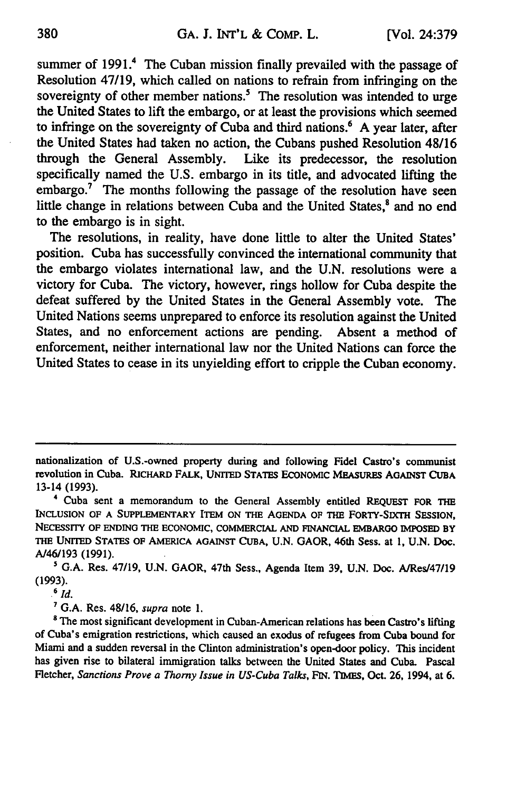summer of 1991.<sup>4</sup> The Cuban mission finally prevailed with the passage of Resolution 47/19, which called on nations to refrain from infringing on the sovereignty of other member nations.<sup>5</sup> The resolution was intended to urge the United States to lift the embargo, or at least the provisions which seemed to infringe on the sovereignty of Cuba and third nations.<sup>6</sup> A year later, after the United States had taken no action, the Cubans pushed Resolution 48/16 through the General Assembly. Like its predecessor, the resolution specifically named the U.S. embargo in its title, and advocated lifting the embargo.<sup>7</sup> The months following the passage of the resolution have seen little change in relations between Cuba and the United States,<sup>8</sup> and no end to the embargo is in sight.

The resolutions, in reality, have done little to alter the United States' position. Cuba has successfully convinced the international community that the embargo violates international law, and the U.N. resolutions were a victory for Cuba. The victory, however, rings hollow for Cuba despite the defeat suffered by the United States in the General Assembly vote. The United Nations seems unprepared to enforce its resolution against the United States, and no enforcement actions are pending. Absent a method of enforcement, neither international law nor the United Nations can force the United States to cease in its unyielding effort to cripple the Cuban economy.

nationalization of U.S.-owned property during and following Fidel Castro's communist revolution in Cuba. RICHARD FALK, **UNITED STATES ECONOMIC MEASURES AGAINST CUBA** 13-14 (1993).

<sup>4</sup> Cuba sent a memorandum to the General Assembly entitled REQUEST **FOR THE INCLUSION** OF **A** SUPPLEMENTARY ITEM **ON** THE **AGENDA** OF **THE** FORTY-SIXTH **SESSION,** NECESSITY OF **ENDING THE ECONOMIC, COMMERCIAL AND FINANCIAL EMBARGO IMPOSED BY THE UNITED STATES OF AMERICA AGAINST CUBA, U.N.** GAOR, 46th Sess. at **1, U.N.** Doc. **A/46/193 (1991).**

**<sup>&#</sup>x27; G.A.** Res. 47/19, **U.N.** GAOR, 47th Sess., Agenda Item **39, U.N. Doc.** A/Res/47/19 **(1993).**

**<sup>6</sup>***Id.*

<sup>7</sup> **G.A.** Res. 48/16, *supra* note **1.**

<sup>8</sup> The most significant development in Cuban-American relations has been Castro's lifting of Cuba's emigration restrictions, which caused an exodus of refugees from Cuba bound for **Miami** and a sudden reversal in the Clinton administration's open-door policy. This incident has given rise to bilateral immigration talks between the United States and Cuba. Pascal Fletcher, *Sanctions Prove a Thorny Issue in US-Cuba Talks, FIN. TIMES,* Oct. 26, 1994, at **6.**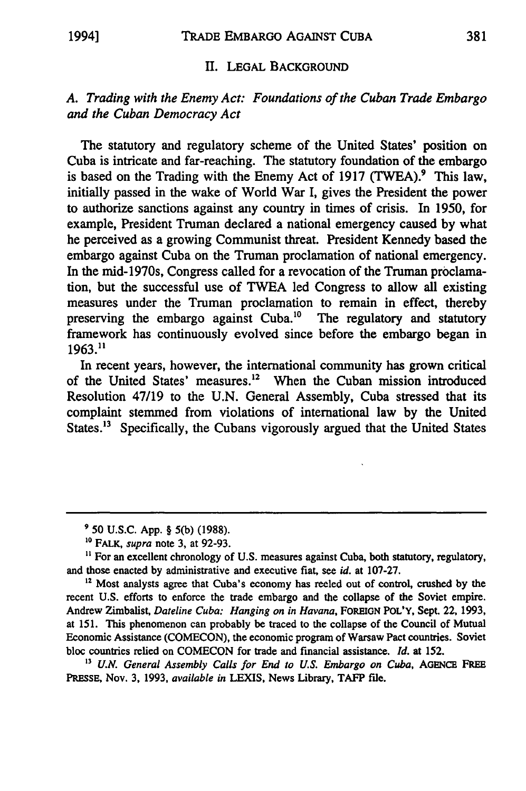#### **I. LEGAL BACKGROUND**

# *A. Trading with the Enemy Act: Foundations of the Cuban Trade Embargo and the Cuban Democracy Act*

The statutory and regulatory scheme of the United States' position on Cuba is intricate and far-reaching. The statutory foundation of the embargo is based on the Trading with the Enemy Act of 1917 (TWEA).<sup>9</sup> This law, initially passed in the wake of World War I, gives the President the power to authorize sanctions against any country in times of crisis. In 1950, for example, President Truman declared a national emergency caused by what he perceived as a growing Communist threat. President Kennedy based the embargo against Cuba on the Truman proclamation of national emergency. In the mid-1970s, Congress called for a revocation of the Truman proclamation, but the successful use of TWEA led Congress to allow all existing measures under the Truman proclamation to remain in effect, thereby preserving the embargo against Cuba.<sup>10</sup> The regulatory and statutory framework has continuously evolved since before the embargo began in 1963."'

In recent years, however, the international community has grown critical of the United States' measures." When the Cuban mission introduced Resolution 47/19 to the U.N. General Assembly, Cuba stressed that its complaint stemmed from violations of international law by the United States.<sup>13</sup> Specifically, the Cubans vigorously argued that the United States

**<sup>12</sup>**Most analysts agree that Cuba's economy has reeled out of control, crushed **by** the recent U.S. efforts to enforce the trade embargo and the collapse of the Soviet empire. Andrew Zimbalist, *Dateline* Cuba: *Hanging on in Havana,* FOREIGN POL'Y, Sept. 22, 1993, at 151. This phenomenon can probably be traced to the collapse of the Council of Mutual Economic Assistance (COMECON), the economic program of Warsaw Pact countries. Soviet bloc countries relied on COMECON for trade and financial assistance. *Id.* at 152.

**"** *U.N.* General *Assembly Calls for End to U.S. Embargo on Cuba,* **AGENCE FREE** PRESSE, Nov. 3, 1993, *available in* LEXIS, News Library, TAFP file.

**<sup>9</sup>** 50 U.S.C. **App. § 5(b) (1988).**

**<sup>&#</sup>x27;0** FALK, *supra* note 3, at 92-93.

**<sup>&</sup>quot;** For an excellent chronology of U.S. measures against Cuba, both statutory, regulatory, and those enacted **by** administrative and executive fiat, see id. at 107-27.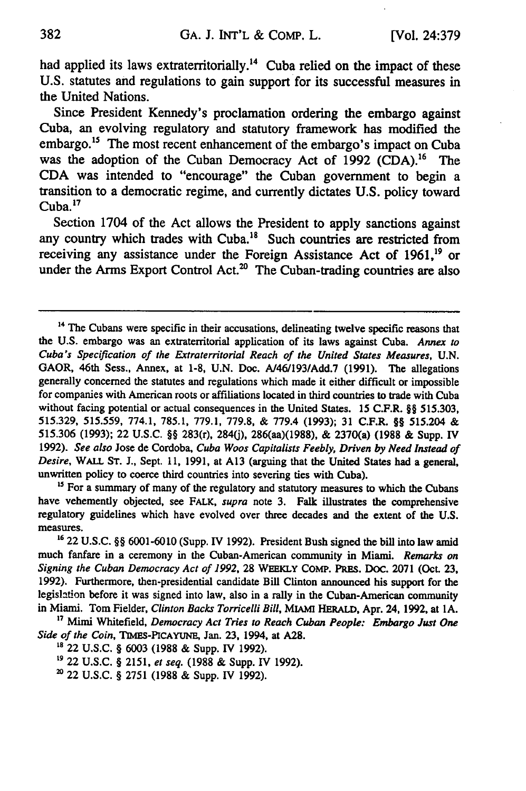had applied its laws extraterritorially.<sup>14</sup> Cuba relied on the impact of these U.S. statutes and regulations to gain support for its successful measures in the United Nations.

Since President Kennedy's proclamation ordering the embargo against Cuba, an evolving regulatory and statutory framework has modified the embargo.<sup>15</sup> The most recent enhancement of the embargo's impact on Cuba was the adoption of the Cuban Democracy Act of 1992 (CDA).<sup>16</sup> The CDA was intended to "encourage" the Cuban government to begin a transition to a democratic regime, and currently dictates U.S. policy toward Cuba. **<sup>17</sup>**

Section 1704 of the Act allows the President to apply sanctions against any country which trades with Cuba.<sup>18</sup> Such countries are restricted from receiving any assistance under the Foreign Assistance Act of 1961,'9 or under the Arms Export Control Act.<sup>20</sup> The Cuban-trading countries are also

<sup>15</sup> For a summary of many of the regulatory and statutory measures to which the Cubans have vehemently objected, see FALK, *supra* note **3.** Falk illustrates the comprehensive regulatory guidelines which have evolved over three decades and the extent of the U.S. measures.

**<sup>16</sup>**22 U.S.C. §§ 6001-6010 (Supp. IV 1992). President Bush signed the bill into law amid much fanfare in a ceremony in the Cuban-American community in Miami. *Remarks on Signing the Cuban Democracy Act of 1992,* 28 **WEEKLY** COMP. PRES. Doc. 2071 (Oct. 23, 1992). Furthermore, then-presidential candidate Bill Clinton announced his support for the legislation before it was signed into law, also in a rally in the Cuban-American community in Miami. Tom Fielder, Clinton *Backs Torricelli Bill,* **MIAMI HERALD,** Apr. 24, 1992, at **IA.**

**2o** 22 U.S.C. § 2751 (1988 & Supp. IV 1992).

<sup>&</sup>lt;sup>14</sup> The Cubans were specific in their accusations, delineating twelve specific reasons that the U.S. embargo was an extraterritorial application of its laws against Cuba. *Annex to Cuba's Specification of the Extraterritorial Reach of the United States Measures,* U.N. GAOR, 46th Sess., Annex, at 1-8, U.N. Doc. A/46/193/Add.7 (1991). The allegations generally concerned the statutes and regulations which made it either difficult or impossible for companies with American roots or affiliations located in third countries to trade with Cuba without facing potential or actual consequences in the United States. 15 C.F.R. §§ 515.303, 515.329, 515.559, 774.1, 785.1, 779.1, 779.8, & 779.4 (1993); 31 C.F.R. §§ 515.204 & 515.306 (1993); 22 U.S.C. §§ 283(r), 2840), 286(aa)(1988), & 2370(a) (1988 & Supp. **IV** 1992). *See also* Jose de Cordoba, *Cuba Woos Capitalists Feebly, Driven by Need Instead of Desire,* **WALL ST. J.,** Sept. **11, 1991,** at A13 (arguing that the United States had a general, unwritten policy to coerce third countries into severing ties with Cuba).

**<sup>17</sup>**Mimi Whitefield, *Democracy Act Tries to Reach Cuban People: Embargo Just One* Side of the Coin, TIMES-PICAYUNE, Jan. 23, 1994, at A28.

<sup>&</sup>lt;sup>18</sup> 22 U.S.C. § 6003 (1988 & Supp. IV 1992).

<sup>&#</sup>x27;9 22 U.S.C. § 2151, *et seq.* (1988 & Supp. IV 1992).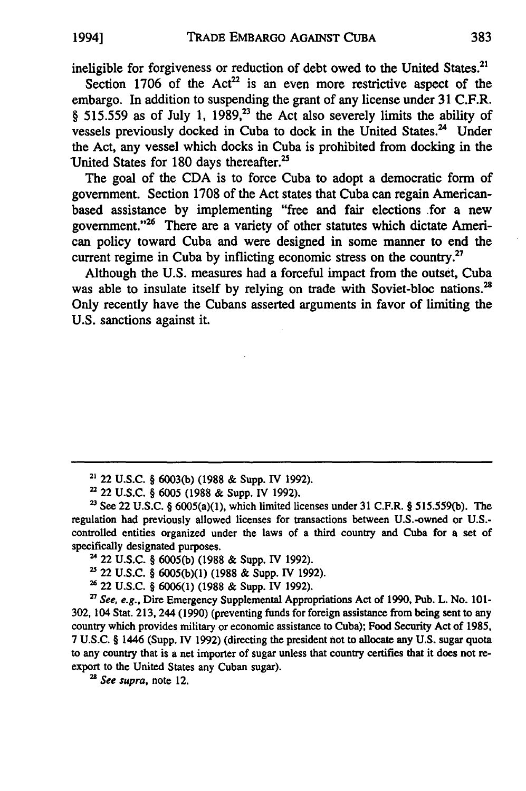ineligible for forgiveness or reduction of debt owed to the United States.<sup>21</sup>

Section  $1706$  of the Act<sup>22</sup> is an even more restrictive aspect of the embargo. In addition to suspending the grant of any license under 31 C.F.R. § 515.559 as of July 1, 1989,<sup>23</sup> the Act also severely limits the ability of vessels previously docked in Cuba to dock in the United States.<sup>24</sup> Under the Act, any vessel which docks in Cuba is prohibited from docking in the United States for 180 days thereafter.<sup>25</sup>

The goal of the CDA is to force Cuba to adopt a democratic form of government. Section 1708 of the Act states that Cuba can regain Americanbased assistance by implementing "free and fair elections for a new government."<sup>26</sup> There are a variety of other statutes which dictate American policy toward Cuba and were designed in some manner to end the current regime in Cuba by inflicting economic stress on the country.<sup>27</sup>

Although the U.S. measures had a forceful impact from the outset, Cuba was able to insulate itself by relying on trade with Soviet-bloc nations.<sup>28</sup> Only recently have the Cubans asserted arguments in favor of limiting the **U.S.** sanctions against it.

*<sup>27</sup>*See, e.g., Dire Emergency Supplemental Appropriations Act of 1990, Pub. L. No. 101- 302, 104 Stat. 213, 244 (1990) (preventing funds for foreign assistance from being sent to any country which provides military or economic assistance to Cuba); Food Security Act of 1985, 7 U.S.C. § 1446 (Supp. IV 1992) (directing the president not to allocate any U.S. sugar quota to any country that is a net importer of sugar unless that country certifies that it does not reexport to the United States any Cuban sugar).

28 *See supra,* note 12.

**<sup>21</sup>** 22 U.S.C. § 6003(b) (1988 & Supp. IV 1992).

<sup>2 22</sup> U.S.C. § 6005 (1988 **&** Supp. IV 1992).

<sup>&</sup>lt;sup>23</sup> See 22 U.S.C. § 6005(a)(1), which limited licenses under 31 C.F.R. § 515.559(b). The regulation had previously allowed licenses for transactions between U.S.-owned or U.S. controlled entities organized under the laws of a third country and Cuba for a set of specifically designated purposes.

<sup>24 22</sup> U.S.C. § 6005(b) (1988 & Supp. IV 1992).

*<sup>2&#</sup>x27;* 22 **U.S.C.** § 6005(b)(1) (1988 & Supp. IV 1992).

**<sup>26</sup>**22 U.S.C. § 6006(1) (1988 & Supp. IV 1992).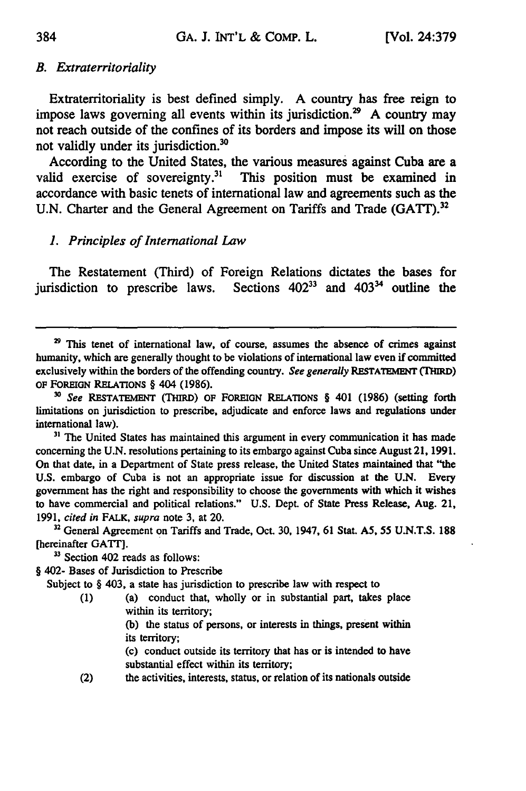# *B. Extraterritoriality*

Extraterritoriality is best defined simply. A country has free reign to impose laws governing all events within its jurisdiction.<sup>29</sup> A country may not reach outside of the confines of its borders and impose its will on those not validly under its jurisdiction.<sup>3</sup>

According to the United States, the various measures against Cuba are a valid exercise of sovereignty.<sup>31</sup> This position must be examined in accordance with basic tenets of international law and agreements such as the U.N. Charter and the General Agreement on Tariffs and Trade (GATT).<sup>32</sup>

# *1. Principles of International Law*

The Restatement (Third) of Foreign Relations dictates the bases for jurisdiction to prescribe laws. Sections  $402^{33}$  and  $403^{34}$  outline the

<sup>31</sup> The United States has maintained this argument in every communication it has made concerning the U.N. resolutions pertaining to its embargo against Cuba since August 21, 1991. On that date, in a Department of State press release, the United States maintained that "the U.S. embargo of Cuba is not an appropriate issue for discussion at the U.N. Every government has the right and responsibility to choose the governments with which it wishes to have commercial and political relations." U.S. Dept. of State Press Release, Aug. 21, 1991, *cited in* **FALK,** *supra* note 3, at 20.

**<sup>32</sup>**General Agreement on Tariffs and Trade, **OcL** 30, 1947, **61** Stat. AS, 55 U.N.T.S. **<sup>188</sup>** [hereinafter GATT].

**<sup>33</sup>**Section 402 reads as follows:

§ 402- Bases of Jurisdiction to Prescribe

Subject to § 403, a state has jurisdiction to prescribe law with respect to

(1) (a) conduct that, wholly or in substantial part, takes place within its territory;

**(b)** the status of persons, or interests in things, present within its territory;

(c) conduct outside its territory that has or is intended to have substantial effect within its territory;

(2) the activities, interests, status, or relation of its nationals outside

**<sup>&</sup>quot;** This tenet of international law, of course, assumes the absence of crimes against humanity, which are generally thought to be violations of international law even if committed exclusively within the borders of the offending country. *See generally* **RESTATEMENT** *(THIRD)* **OF** FOREIGN **RELATIONS** § 404 (1986).

*<sup>30</sup>See* **RESTATEMENT (THIRD)** OF **FOREIGN RELATIONS** § 401 **(1986)** (setting forth limitations on jurisdiction to prescribe, adjudicate and enforce laws and regulations under international law).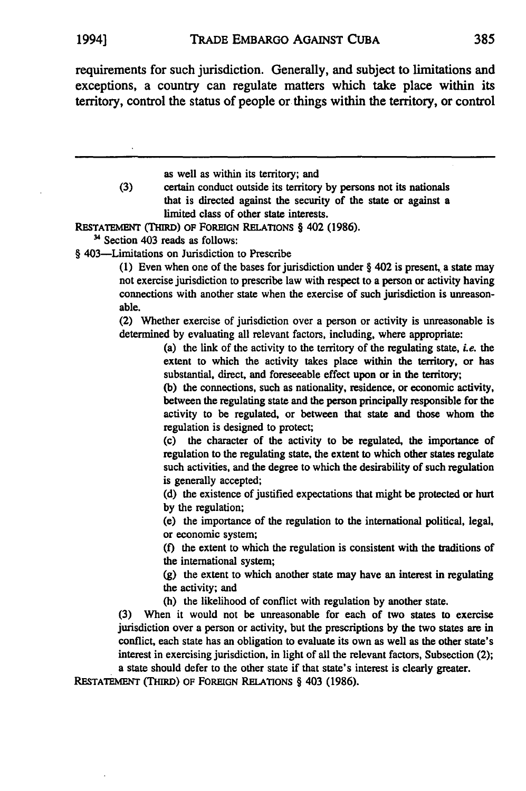**1994]**

requirements for such jurisdiction. Generally, and subject to limitations and exceptions, a country can regulate matters which take place within its territory, control the status of people or things within the territory, or control

as well as within its territory; and

**(3)** certain conduct outside its territory **by** persons not its nationals that is directed against the security of the state or against a limited class of other state interests.

**RESTATEMENT (THIRD) OF** FOREIGN **RELATIONS** § 402 **(1986).**

**3'** Section 403 reads as follows:

§ 403-Limitations on Jurisdiction to Prescribe

**(1)** Even when one of the bases for jurisdiction under § 402 is present, a state may not exercise jurisdiction to prescribe law with respect to a person or activity having connections with another state when the exercise of such jurisdiction is unreasonable.

(2) Whether exercise of jurisdiction over a person or activity is unreasonable is determined **by** evaluating all relevant factors, including, where appropriate:

> (a) the link of the activity to the territory of the regulating state, i.e. the extent to which the activity takes place within the territory, or has substantial, direct, and foreseeable effect upon or in the territory;

> **(b)** the connections, such as nationality, residence, or economic activity, between the regulating state and the person principally responsible for the activity to be regulated, or between that state and those whom the regulation is designed to protect;

> (c) the character of the activity to be regulated, the importance of regulation to the regulating state, the extent to which other states regulate such activities, and the degree to which the desirability of such regulation is generally accepted;

> **(d)** the existence of justified expectations that might be protected or hurt **by** the regulation;

> (e) the importance of the regulation to the international political, legal, or economic system;

> **(f)** the extent to which the regulation is consistent with the traditions of the international system;

> **(g)** the extent to which another state may have an interest in regulating the activity; and

(h) the likelihood of conflict with regulation **by** another state.

**(3)** When it would not be unreasonable for each of two states **to** exercise jurisdiction over a person or activity, but the prescriptions **by** the two states are in conflict, each state has an obligation to evaluate its own as well as the other state's interest in exercising jurisdiction, in light of all the relevant factors, Subsection (2); a state should defer to the other state if that state's interest is clearly greater.

**RESTATEMENT (THIRD) OF FOREIGN RELATIONS** § 403 **(1986).**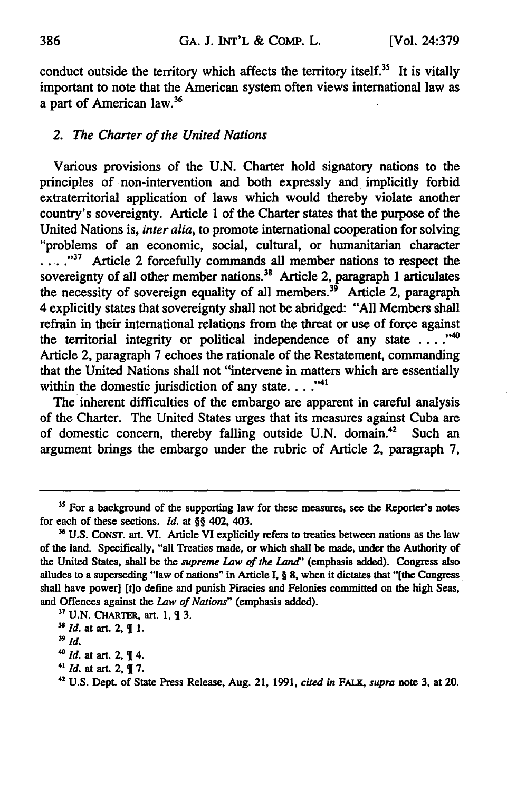conduct outside the territory which affects the territory itself.<sup>35</sup> It is vitally important to note that the American system often views international law as a part of American law.36

## *2. The Charter of the United Nations*

Various provisions of the U.N. Charter hold signatory nations to the principles of non-intervention and both expressly and implicitly forbid extraterritorial application of laws which would thereby violate another country's sovereignty. Article 1 of the Charter states that the purpose of the United Nations is, *inter alia,* to promote international cooperation for solving "problems of an economic, social, cultural, or humanitarian character **....**  $\cdot$ <sup>37</sup> Article 2 forcefully commands all member nations to respect the sovereignty of all other member nations.<sup>38</sup> Article 2, paragraph 1 articulates the necessity of sovereign equality of all members.<sup>39</sup> Article 2, paragraph 4 explicitly states that sovereignty shall not be abridged: "All Members shall refrain in their international relations from the threat or use of force against the territorial integrity or political independence of any state ....<sup>140</sup> Article 2, paragraph 7 echoes the rationale of the Restatement, commanding that the United Nations shall not "intervene in matters which are essentially within the domestic jurisdiction of any state....<sup> $141$ </sup>

The inherent difficulties of the embargo are apparent in careful analysis of the Charter. The United States urges that its measures against Cuba are of domestic concern, thereby falling outside U.N. domain.42 Such an argument brings the embargo under the rubric of Article 2, paragraph 7,

<sup>&</sup>lt;sup>35</sup> For a background of the supporting law for these measures, see the Reporter's notes for each of these sections. *Id.* at §§ 402, 403.

**<sup>36</sup> U.S. CONST.** art. VI. Article VI explicitly refers to treaties between nations as the law of the land. Specifically, "all Treaties made, or which shall be made, under the Authority of the United States, shall be the *supreme Law of the Land'* (emphasis added). Congress also alludes to a superseding "law of nations" in Article **I,** § **8,** when it dictates that "[the Congress shall have power] [t]o define and punish Piracies and Felonies committed on the high Seas, and Offences against the *Law of Nations"* (emphasis added).

**<sup>37</sup> U.N. CHARTER,** art. 1, **3.**

<sup>&</sup>lt;sup>38</sup> *Id.* at art. 2, **1** 1.

 $39$   $Id.$ 

<sup>&</sup>lt;sup>40</sup> *Id.* at art. 2, **J** 4.

<sup>41</sup> *Id.* at art. 2, **1 7.**

**<sup>42</sup> U.S.** Dept. of State Press Release, Aug. 21, **1991,** *cited in FALK, supra* note **3,** at 20.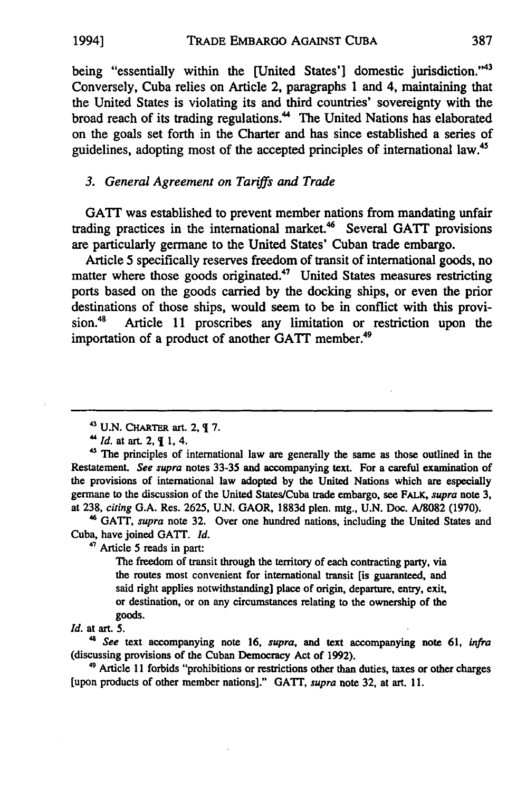**1994]**

being "essentially within the [United States'] domestic jurisdiction."<sup>43</sup> Conversely, Cuba relies on Article 2, paragraphs 1 and 4, maintaining that the United States is violating its and third countries' sovereignty with the broad reach of its trading regulations.<sup>44</sup> The United Nations has elaborated on the goals set forth in the Charter and has since established a series of guidelines, adopting most of the accepted principles of international law.<sup>4</sup>

# *3. General Agreement on Tariffs and Trade*

GATT was established to prevent member nations from mandating unfair trading practices in the international market.<sup>46</sup> Several GATT provisions are particularly germane to the United States' Cuban trade embargo.

Article 5 specifically reserves freedom of transit of international goods, no matter where those goods originated.<sup>47</sup> United States measures restricting ports based on the goods carried by the docking ships, or even the prior destinations of those ships, would seem to be in conflict with this provision.<sup>48</sup> Article 11 proscribes any limitation or restriction upon the importation of a product of another **GATT** member.49

<sup>45</sup> The principles of international law are generally the same as those outlined in the Restatement. *See supra* notes **33-35** and accompanying text. For a careful examination of the provisions of international law adopted **by** the United Nations which are especially germane to the discussion of the United States/Cuba trade embargo, see **FALK,** *supra* note **3,** at **238,** *citing* **G.A.** Res. **2625, U.N.** GAOR, **1883d** plen. mtg., **U.N.** Doc. **A/8082 (1970).**

"GATI, *supra* note **32.** Over one hundred nations, including the United States and Cuba, have joined GATT. *Id.*

**7** Article 5 reads in part:

The freedom of transit through the territory of each contracting party, via the routes most convenient for international transit [is guaranteed, and said right applies notwithstanding] place of origin, departure, entry, exit, or destination, or on any circumstances relating to the ownership of the goods.

*Id.* at art. 5.

**"** *See* text accompanying note **16,** *supra,* and text accompanying note **61,** infra (discussing provisions of the Cuban Democracy Act of 1992).

**<sup>41</sup>**Article **I 1** forbids "prohibitions or restrictions other than duties, taxes or other charges [upon products of other member nations]." **GATT,** *supra* note **32,** at art. **11.**

**<sup>43</sup>**U.N. **CHARTER** art. 2, I **7.**

<sup>&</sup>lt;sup>44</sup> *Id.* at art. 2, ¶ 1, 4.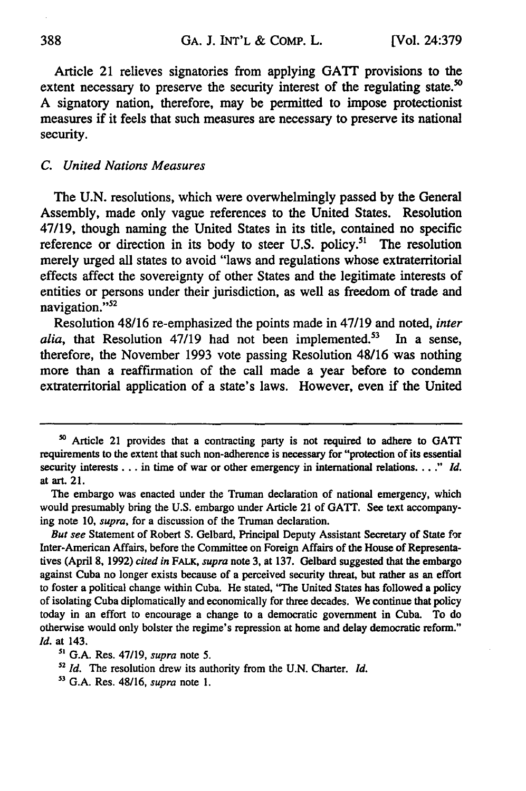Article 21 relieves signatories from applying GATT provisions to the extent necessary to preserve the security interest of the regulating state.<sup>50</sup> A signatory nation, therefore, may be permitted to impose protectionist measures if it feels that such measures are necessary to preserve its national security.

#### *C. United Nations Measures*

The U.N. resolutions, which were overwhelmingly passed by the General Assembly, made only vague references to the United States. Resolution 47/19, though naming the United States in its title, contained no specific reference or direction in its body to steer U.S. policy.<sup>51</sup> The resolution merely urged all states to avoid "laws and regulations whose extraterritorial effects affect the sovereignty of other States and the legitimate interests of entities or persons under their jurisdiction, as well as freedom of trade and navigation."<sup>52</sup>

Resolution 48/16 re-emphasized the points made in 47/19 and noted, *inter alia*, that Resolution 47/19 had not been implemented.<sup>53</sup> In a sense, therefore, the November 1993 vote passing Resolution 48/16 was nothing more than a reaffirmation of the call made a year before to condemn extraterritorial application of a state's laws. However, even if the United

**<sup>53</sup>**G.A. Res. 48/16, *supra* note 1.

<sup>&</sup>lt;sup>50</sup> Article 21 provides that a contracting party is not required to adhere to GATT requirements to the extent that such non-adherence is necessary for "protection of its essential security interests . . . in time of war or other emergency in international relations. . . ." *Id.* at art. 21.

The embargo was enacted under the Truman declaration of national emergency, which would presumably bring the U.S. embargo under Article 21 of **GATT.** See text accompanying note 10, *supra,* for a discussion of the Truman declaration.

*But see* Statement of Robert S. Gelbard, Principal Deputy Assistant Secretary of State for Inter-American Affairs, before the Committee on Foreign Affairs of the House of Representatives (April 8, 1992) *cited in* FALK, *supra* note 3, at 137. Gelbard suggested that the embargo against Cuba no longer exists because of a perceived security threat, but rather as an effort to foster a political change within Cuba. He stated, "The United States has followed a policy of isolating Cuba diplomatically and economically for three decades. We continue that policy today in an effort to encourage a change to a democratic government in Cuba. To do otherwise would only bolster the regime's repression at home and delay democratic reform." *Id.* at 143.

**<sup>5&#</sup>x27;** G.A. Res. 47/19, *supra* note 5.

*<sup>52</sup>Id.* The resolution drew its authority from the U.N. Charter. *Id.*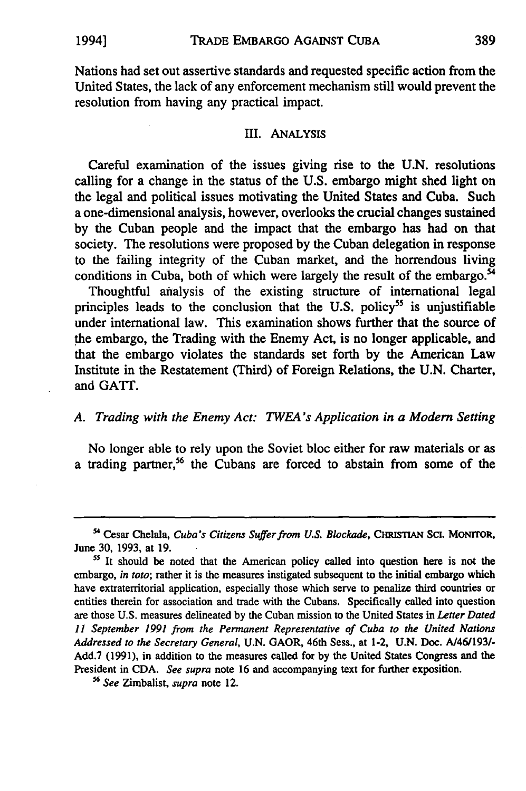Nations had set out assertive standards and requested specific action from the United States, the lack of any enforcement mechanism still would prevent the resolution from having any practical impact.

## **III.** ANALYSIS

Careful examination of the issues giving rise to the **U.N.** resolutions calling for a change in the status of the **U.S.** embargo might shed light on the legal and political issues motivating the United States and Cuba. Such a one-dimensional analysis, however, overlooks the crucial changes sustained **by** the Cuban people and the impact that the embargo has had on that society. The resolutions were proposed **by** the Cuban delegation in response to the failing integrity of the Cuban market, and the horrendous living conditions in Cuba, both of which were largely the result of the embargo. $54$ 

Thoughtful analysis of the existing structure of international legal principles leads to the conclusion that the U.S. policy<sup>55</sup> is unjustifiable under international law. This examination shows further that the source of the embargo, the Trading with the Enemy Act, is no longer applicable, and that the embargo violates the standards set forth **by** the American Law Institute in the Restatement (Third) of Foreign Relations, the **U.N.** Charter, and **GATT.**

## *A. Trading with the Enemy Act: TWEA's Application in a Modem Setting*

No longer able to rely upon the Soviet bloc either for raw materials or as a trading partner,<sup>56</sup> the Cubans are forced to abstain from some of the

*- See* Zimbalist, *supra* note 12.

**<sup>&#</sup>x27;** Cesar Chelala, *Cuba's Citizens Suffer from U.S. Blockade,* **CHRISTIAN ScI. MONITOR,** June **30, 1993,** at **19.**

**<sup>-5</sup>** It should be noted that the American policy called into question here is not the embargo, *in toto;* rather it is the measures instigated subsequent to the initial embargo which have extraterritorial application, especially those which serve to penalize third countries or entities therein for association and trade with the Cubans. Specifically called into question are those U.S. measures delineated by the Cuban mission to the United States in *Letter Dated 11 September 1991 from the Permanent Representative of Cuba to the United Nations Addressed to the Secretary General,* U.N. GAOR, 46th Sess., at 1-2, U.N. Doc. A/46/193/- **Add.7 (1991),** in addition to the measures called for **by** the United States Congress and the President in **CDA.** *See supra* note 16 and accompanying text for further exposition.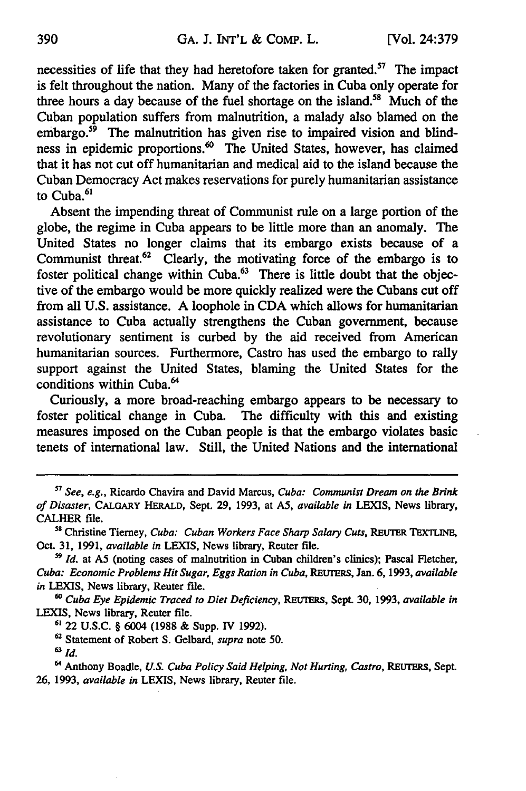necessities of life that they had heretofore taken for granted.<sup>57</sup> The impact is felt throughout the nation. Many of the factories in Cuba only operate for three hours a day because of the fuel shortage on the island.<sup>58</sup> Much of the Cuban population suffers from malnutrition, a malady also blamed on the embargo.<sup>59</sup> The malnutrition has given rise to impaired vision and blindness in epidemic proportions.<sup>60</sup> The United States, however, has claimed that it has not cut off humanitarian and medical aid to the island because the Cuban Democracy Act makes reservations for purely humanitarian assistance to Cuba.<sup>61</sup>

Absent the impending threat of Communist rule on a large portion of the globe, the regime in Cuba appears to be little more than an anomaly. The United States no longer claims that its embargo exists because of a Communist threat. $62$  Clearly, the motivating force of the embargo is to foster political change within Cuba.<sup>63</sup> There is little doubt that the objective of the embargo would be more quickly realized were the Cubans cut off from all U.S. assistance. A loophole in CDA which allows for humanitarian assistance to Cuba actually strengthens the Cuban government, because revolutionary sentiment is curbed by the aid received from American humanitarian sources. Furthermore, Castro has used the embargo to rally support against the United States, blaming the United States for the conditions within Cuba.<sup>64</sup>

Curiously, a more broad-reaching embargo appears to be necessary to foster political change in Cuba. The difficulty with this and existing measures imposed on the Cuban people is that the embargo violates basic tenets of international law. Still, the United Nations and the international

*<sup>60</sup>Cuba Eye Epidemic Traced to Diet Deficiency,* **REUTERS, Sept. 30, 1993,** *available in* LEXIS, News library, Reuter file.

**63** 22 **U.S.C.** § 6004 **(1988 &** Supp. IV **1992).**

**<sup>6</sup>**Statement of Robert **S.** Gelbard, *supra* note **50.**

**63** *Id.*

6 Anthony Boadle, **U.S. Cuba Policy Said Helping, Not Hurting, Castro, REUTERS,** Sept. **26, 1993,** *available in* **LEXIS,** News library, Reuter file.

*<sup>57</sup>See, e.g.,* Ricardo Chavira and David Marcus, Cuba: Communist Dream on the Brink *of Disaster,* **CALGARY** HERALD, Sept. 29, 1993, at A5, *available in* LEXIS, News library, CALHER file.

<sup>58</sup> Christine Tierney, *Cuba: Cuban Workers Face Sharp Salary Cuts,* **REUTER** *TEXTLINE,* Oct. 31, 1991, *available in* LEXIS, News library, Reuter file.

<sup>&</sup>lt;sup>59</sup> Id. at A5 (noting cases of malnutrition in Cuban children's clinics); Pascal Fletcher, Cuba: Economic Problems Hit Sugar, Eggs Ration in Cuba, **REUTERS,** Jan. 6, 1993, available in LEXIS, News library, Reuter file.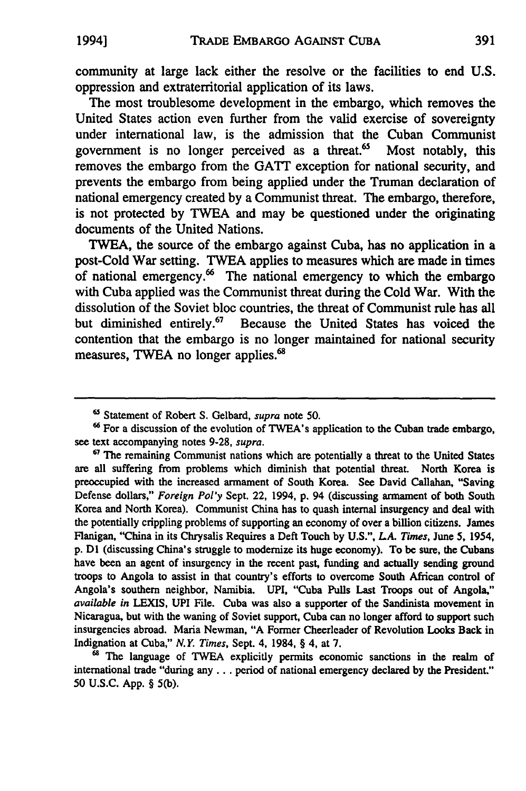community at large lack either the resolve or the facilities to end **U.S.** oppression and extraterritorial application of its laws.

The most troublesome development in the embargo, which removes the United States action even further from the valid exercise of sovereignty under international law, is the admission that the Cuban Communist government is no longer perceived as a threat.<sup>65</sup> Most notably, this removes the embargo from the GATT exception for national security, and prevents the embargo from being applied under the Truman declaration of national emergency created by a Communist threat. The embargo, therefore, is not protected by TWEA and may be questioned under the originating documents of the United Nations.

TWEA, the source of the embargo against Cuba, has no application in a post-Cold War setting. TWEA applies to measures which are made in times of national emergency.<sup>66</sup> The national emergency to which the embargo with Cuba applied was the Communist threat during the Cold War. With the dissolution of the Soviet bloc countries, the threat of Communist rule has all but diminished entirely.<sup>67</sup> Because the United States has voiced the contention that the embargo is no longer maintained for national security measures, TWEA no longer applies.<sup>68</sup>

**<sup>68</sup>**The language of TWEA explicitly permits economic sanctions in the realm of international trade "during **any...** period of national emergency declared **by** the President." **50** U.S.C. **App.** § **5(b).**

<sup>&</sup>lt;sup>65</sup> Statement of Robert S. Gelbard, supra note 50.

<sup>&</sup>lt;sup>66</sup> For a discussion of the evolution of TWEA's application to the Cuban trade embargo, see text accompanying notes 9-28, *supra.*

 $\sigma$  The remaining Communist nations which are potentially a threat to the United States are all suffering from problems which diminish that potential threat. North Korea is preoccupied with the increased armament of South Korea. See David Callahan, "Saving Defense dollars," *Foreign Pol'y* Sept. 22, 1994, p. 94 (discussing armament of both South Korea and North Korea). Communist China has to quash internal insurgency and deal with the potentially crippling problems of supporting an economy of over a billion citizens. James Flanigan, "China in its Chrysalis Requires a Deft Touch **by U.S.",** *LA. Times,* June **5,** 1954, p. **DI** (discussing China's struggle to modernize its huge economy). To be sure, the Cubans have been an agent of insurgency in the recent past, funding and actually sending ground troops to Angola to assist in that country's efforts to overcome South African control of Angola's southern neighbor, Namibia. UPI, "Cuba Pulls Last Troops out of Angola," *available in* LEXIS, UPI File. Cuba was also a supporter of the Sandinista movement in Nicaragua, but with the waning of Soviet support, Cuba can no longer afford to support such insurgencies abroad. Maria Newman, **"A** Former Cheerleader of Revolution Looks Back in Indignation at Cuba," *N.Y. Times,* Sept. 4, 1984, **§** 4, at 7.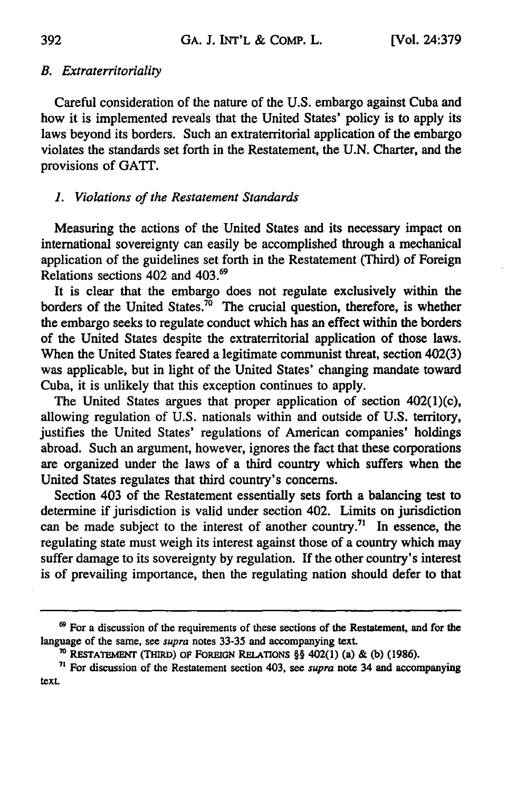### *B. Extraterritoriality*

Careful consideration of the nature of the U.S. embargo against Cuba and how it is implemented reveals that the United States' policy is to apply its laws beyond its borders. Such an extraterritorial application of the embargo violates the standards set forth in the Restatement, the U.N. Charter, and the provisions of **GATT.**

#### *1. Violations of the Restatement Standards*

Measuring the actions of the United States and its necessary impact on international sovereignty can easily be accomplished through a mechanical application of the guidelines set forth in the Restatement (Third) of Foreign Relations sections 402 and 403.69

It is clear that the embargo does not regulate exclusively within the borders of the United States.<sup>70</sup> The crucial question, therefore, is whether the embargo seeks to regulate conduct which has an effect within the borders of the United States despite the extraterritorial application of those laws. When the United States feared a legitimate communist threat, section 402(3) was applicable, but in light of the United States' changing mandate toward Cuba, it is unlikely that this exception continues to apply.

The United States argues that proper application of section 402(1)(c), allowing regulation of U.S. nationals within and outside of U.S. territory, justifies the United States' regulations of American companies' holdings abroad. Such an argument, however, ignores the fact that these corporations are organized under the laws of a third country which suffers when the United States regulates that third country's concerns.

Section 403 of the Restatement essentially sets forth a balancing test to determine if jurisdiction is valid under section 402. Limits on jurisdiction can be made subject to the interest of another country.<sup>71</sup> In essence, the regulating state must weigh its interest against those of a country which may suffer damage to its sovereignty by regulation. If the other country's interest is of prevailing importance, then the regulating nation should defer to that

**<sup>69</sup> For a** discussion **of** the requirements **of these sections of** the Restatement, **and for the** language **of the same, see** *supra* **notes 33-35 and accompanying** text.

**<sup>70</sup> RESTATEMENT (THIRD) OF FOREIGN RELATIONS** §§ **402(1) (a) & (b) (1986).**

**<sup>71</sup> For discussion of the** Restatement **section 403, see** *supra* **note 34 and accompanying** text.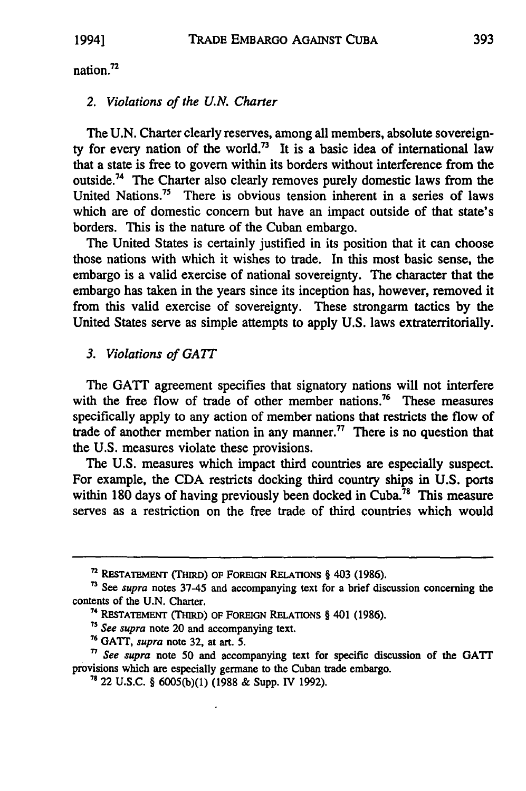nation.<sup>72</sup>

## *2. Violations of the U.N. Charter*

The **U.N.** Charter clearly reserves, among all members, absolute sovereignty for every nation of the world.<sup>73</sup> It is a basic idea of international law that a state is free to govern within its borders without interference from the outside.74 The Charter also clearly removes purely domestic laws from the United Nations.<sup>75</sup> There is obvious tension inherent in a series of laws which are of domestic concern but have an impact outside of that state's borders. This is the nature of the Cuban embargo.

The United States is certainly justified in its position that it can choose those nations with which it wishes to trade. In this most basic sense, the embargo is a valid exercise of national sovereignty. The character that the embargo has taken in the years since its inception has, however, removed it from this valid exercise of sovereignty. These strongarm tactics **by** the United States serve as simple attempts to apply **U.S.** laws extraterritorially.

# *3. Violations of GAIT*

The GATT agreement specifies that signatory nations will not interfere with the free flow of trade of other member nations.<sup>76</sup> These measures specifically apply to any action of member nations that restricts the flow of trade of another member nation in any manner.<sup>77</sup> There is no question that the **U.S.** measures violate these provisions.

The **U.S.** measures which impact third countries are especially suspect. For example, the **CDA** restricts docking third country ships in **U.S.** ports within 180 days of having previously been docked in Cuba.<sup>78</sup> This measure serves as a restriction on the free trade of third countries which would

**RESTATEMENT** (THIRD) **OF** FOREIGN **RELATIONS** § 403 **(1986).**

*<sup>73</sup>*See *supra* notes **37-45** and accompanying text for a brief discussion concerning the contents of the **U.N.** Charter.

*<sup>74</sup>*RESTATEMENT (THIRD) **OF** FOREIGN RELATIONS § 401 **(1986).**

*<sup>75</sup> See supra* note 20 and accompanying text.

**<sup>76</sup> GATT,** *supra* note **32,** at art. **5.**

*<sup>77</sup> See supra* note **50** and accompanying text for specific discussion of the GATT provisions which are especially germane to the Cuban trade embargo.

*<sup>7&#</sup>x27;* 22 **U.S.C.** § **6005(b)(1) (1988 &** Supp. IV **1992).**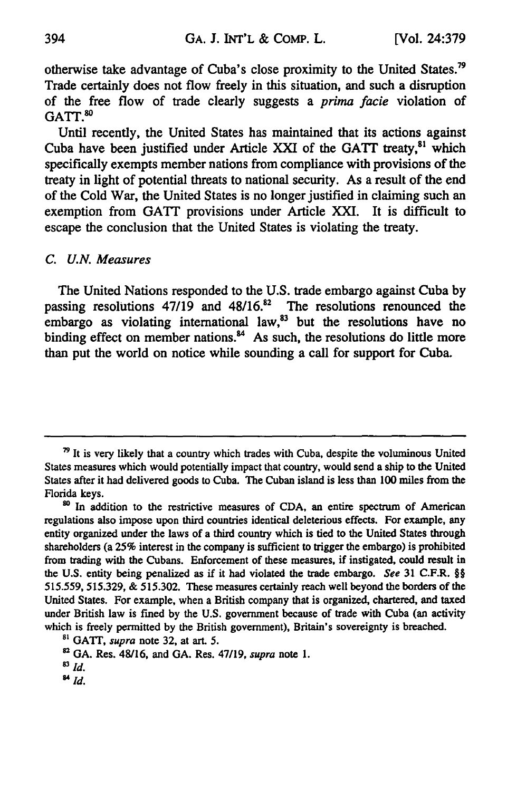otherwise take advantage of Cuba's close proximity to the United States.79 Trade certainly does not flow freely in this situation, and such a disruption of the free flow of trade clearly suggests a *prima facie* violation of GATT.<sup>80</sup>

Until recently, the United States has maintained that its actions against Cuba have been justified under Article XXI of the GATT treaty,<sup>81</sup> which specifically exempts member nations from compliance with provisions of the treaty in light of potential threats to national security. As a result of the end of the Cold War, the United States is no longer justified in claiming such an exemption from GATT provisions under Article XXI. It is difficult to escape the conclusion that the United States is violating the treaty.

# *C. U.N. Measures*

The United Nations responded to the **U.S.** trade embargo against Cuba **by** passing resolutions  $47/19$  and  $48/16$ .<sup>82</sup> The resolutions renounced the embargo as violating international law, $83$  but the resolutions have no binding effect on member nations.<sup>84</sup> As such, the resolutions do little more than put the world on notice while sounding a call for support for Cuba.

**<sup>79</sup>**It is very likely that a country which trades with Cuba, despite the voluminous United States measures which would potentially impact that country, would send a ship to the United States after it had delivered goods to Cuba. The Cuban island is less than **100** miles from the Florida keys.

**so** In addition to the restrictive measures of **CDA,** an entire spectrum of American regulations also impose upon third countries identical deleterious effects. For example, any entity organized under the laws of a **third** country which is tied to the United States through shareholders (a **25%** interest in the company is sufficient to trigger the embargo) is prohibited from trading with the Cubans. Enforcement of these measures, if instigated, could result in the **U.S.** entity being penalized as if it had violated the trade embargo. *See* **31** C.F.R. §§ **515.559, 515.329, & 515.302.** These measures certainly reach well beyond the borders of the United States. For example, when a British company that is organized, chartered, and taxed under British law is fined **by** the **U.S.** government because of trade with Cuba (an activity which is freely permitted **by** the British government), Britain's sovereignty is breached.

**s1** GATr, *supra* note **32,** at art. **5.**

**<sup>&#</sup>x27;2 GA.** Res. 48/16, and **GA.** Res. 47/19, *supra* note **1.**

**<sup>3</sup>** *id.*

**<sup>84</sup>** *Id.*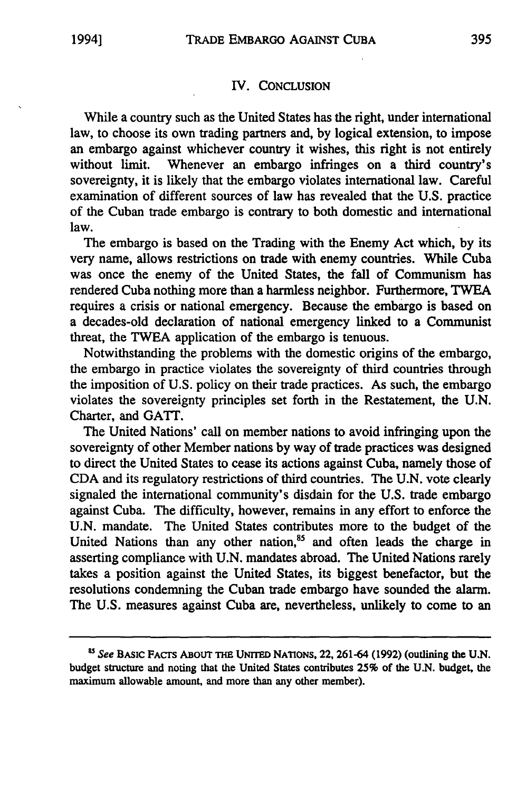#### IV. CONCLUSION

While a country such as the United States has the right, under international law, to choose its own trading partners and, **by** logical extension, to impose an embargo against whichever country it wishes, this right is not entirely without limit. Whenever an embargo infringes on a third country's sovereignty, it is likely that the embargo violates international law. Careful examination of different sources of law has revealed that the **U.S.** practice of the Cuban trade embargo is contrary to both domestic and international law.

The embargo is based on the Trading with the Enemy Act which, **by** its very name, allows restrictions on trade with enemy countries. While Cuba was once the enemy of the United States, the fall of Communism has rendered Cuba nothing more than a harmless neighbor. Furthermore, TWEA requires a crisis or national emergency. Because the embargo is based on a decades-old declaration of national emergency linked to a Communist threat, the TWEA application of the embargo is tenuous.

Notwithstanding the problems with the domestic origins of the embargo, the embargo in practice violates the sovereignty of third countries through the imposition of U.S. policy on their trade practices. As such, the embargo violates the sovereignty principles set forth in the Restatement, the U.N. Charter, and **GATT.**

The United Nations' call on member nations to avoid infringing upon the sovereignty of other Member nations by way of trade practices was designed to direct the United States to cease its actions against Cuba, namely those of CDA and its regulatory restrictions of third countries. The U.N. vote clearly signaled the international community's disdain for the U.S. trade embargo against Cuba. The difficulty, however, remains in any effort to enforce the U.N. mandate. The United States contributes more to the budget of the United Nations than any other nation,<sup>85</sup> and often leads the charge in asserting compliance with U.N. mandates abroad. The United Nations rarely takes a position against the United States, its biggest benefactor, but the resolutions condemning the Cuban trade embargo have sounded the alarm. The U.S. measures against Cuba are, nevertheless, unlikely to come to an

*<sup>5</sup>* See BAsIc FACrS ABouT **THE UNITED NATIONS,** 22, 261-64 **(1992)** (outlining the **U.N.** budget structure and noting that the United States contributes 25% of the **U.N.** budget, the maximum allowable amount, and more than any other member).